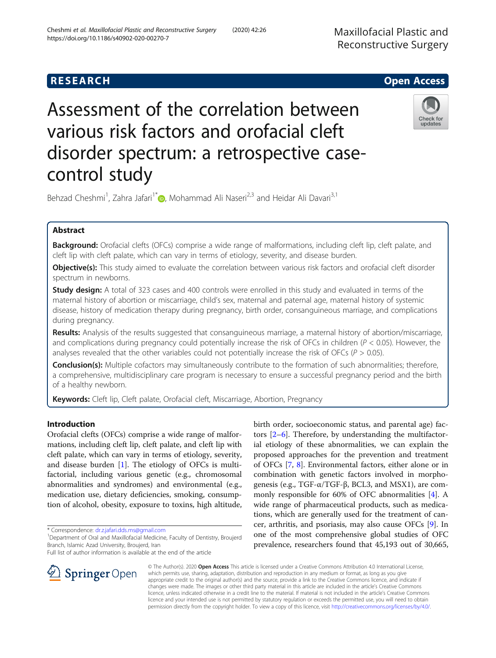Maxillofacial Plastic and Reconstructive Surgery



# Assessment of the correlation between various risk factors and orofacial cleft disorder spectrum: a retrospective casecontrol study

Behzad Cheshmi<sup>1</sup>, Zahra Jafari<sup>1\*</sup> , Mohammad Ali Naseri<sup>2,3</sup> and Heidar Ali Davari<sup>3,1</sup>

# Abstract

Background: Orofacial clefts (OFCs) comprise a wide range of malformations, including cleft lip, cleft palate, and cleft lip with cleft palate, which can vary in terms of etiology, severity, and disease burden.

Objective(s): This study aimed to evaluate the correlation between various risk factors and orofacial cleft disorder spectrum in newborns.

**Study design:** A total of 323 cases and 400 controls were enrolled in this study and evaluated in terms of the maternal history of abortion or miscarriage, child's sex, maternal and paternal age, maternal history of systemic disease, history of medication therapy during pregnancy, birth order, consanguineous marriage, and complications during pregnancy.

Results: Analysis of the results suggested that consanguineous marriage, a maternal history of abortion/miscarriage, and complications during pregnancy could potentially increase the risk of OFCs in children ( $P < 0.05$ ). However, the analyses revealed that the other variables could not potentially increase the risk of OFCs ( $P > 0.05$ ).

Conclusion(s): Multiple cofactors may simultaneously contribute to the formation of such abnormalities; therefore, a comprehensive, multidisciplinary care program is necessary to ensure a successful pregnancy period and the birth of a healthy newborn.

Keywords: Cleft lip, Cleft palate, Orofacial cleft, Miscarriage, Abortion, Pregnancy

# Introduction

Orofacial clefts (OFCs) comprise a wide range of malformations, including cleft lip, cleft palate, and cleft lip with cleft palate, which can vary in terms of etiology, severity, and disease burden [[1\]](#page-4-0). The etiology of OFCs is multifactorial, including various genetic (e.g., chromosomal abnormalities and syndromes) and environmental (e.g., medication use, dietary deficiencies, smoking, consumption of alcohol, obesity, exposure to toxins, high altitude,

\* Correspondence: [dr.z.jafari.dds.ms@gmail.com](mailto:dr.z.jafari.dds.ms@gmail.com) <sup>1</sup>

birth order, socioeconomic status, and parental age) factors [\[2](#page-4-0)–[6\]](#page-4-0). Therefore, by understanding the multifactorial etiology of these abnormalities, we can explain the proposed approaches for the prevention and treatment of OFCs [[7,](#page-4-0) [8](#page-4-0)]. Environmental factors, either alone or in combination with genetic factors involved in morphogenesis (e.g., TGF-α/TGF-β, BCL3, and MSX1), are commonly responsible for 60% of OFC abnormalities [[4](#page-4-0)]. A wide range of pharmaceutical products, such as medications, which are generally used for the treatment of cancer, arthritis, and psoriasis, may also cause OFCs [\[9\]](#page-4-0). In one of the most comprehensive global studies of OFC prevalence, researchers found that 45,193 out of 30,665,



© The Author(s). 2020 Open Access This article is licensed under a Creative Commons Attribution 4.0 International License, which permits use, sharing, adaptation, distribution and reproduction in any medium or format, as long as you give appropriate credit to the original author(s) and the source, provide a link to the Creative Commons licence, and indicate if changes were made. The images or other third party material in this article are included in the article's Creative Commons licence, unless indicated otherwise in a credit line to the material. If material is not included in the article's Creative Commons licence and your intended use is not permitted by statutory regulation or exceeds the permitted use, you will need to obtain permission directly from the copyright holder. To view a copy of this licence, visit <http://creativecommons.org/licenses/by/4.0/>.

<sup>&</sup>lt;sup>1</sup> Department of Oral and Maxillofacial Medicine, Faculty of Dentistry, Broujerd Branch, Islamic Azad University, Broujerd, Iran

Full list of author information is available at the end of the article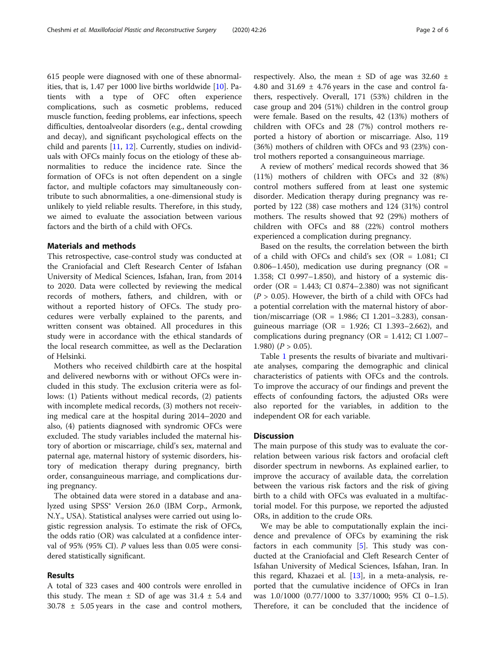615 people were diagnosed with one of these abnormalities, that is, 1.47 per 1000 live births worldwide [\[10\]](#page-4-0). Patients with a type of OFC often experience complications, such as cosmetic problems, reduced muscle function, feeding problems, ear infections, speech difficulties, dentoalveolar disorders (e.g., dental crowding and decay), and significant psychological effects on the child and parents [[11,](#page-4-0) [12](#page-4-0)]. Currently, studies on individuals with OFCs mainly focus on the etiology of these abnormalities to reduce the incidence rate. Since the formation of OFCs is not often dependent on a single factor, and multiple cofactors may simultaneously contribute to such abnormalities, a one-dimensional study is unlikely to yield reliable results. Therefore, in this study, we aimed to evaluate the association between various factors and the birth of a child with OFCs.

### Materials and methods

This retrospective, case-control study was conducted at the Craniofacial and Cleft Research Center of Isfahan University of Medical Sciences, Isfahan, Iran, from 2014 to 2020. Data were collected by reviewing the medical records of mothers, fathers, and children, with or without a reported history of OFCs. The study procedures were verbally explained to the parents, and written consent was obtained. All procedures in this study were in accordance with the ethical standards of the local research committee, as well as the Declaration of Helsinki.

Mothers who received childbirth care at the hospital and delivered newborns with or without OFCs were included in this study. The exclusion criteria were as follows: (1) Patients without medical records, (2) patients with incomplete medical records, (3) mothers not receiving medical care at the hospital during 2014–2020 and also, (4) patients diagnosed with syndromic OFCs were excluded. The study variables included the maternal history of abortion or miscarriage, child's sex, maternal and paternal age, maternal history of systemic disorders, history of medication therapy during pregnancy, birth order, consanguineous marriage, and complications during pregnancy.

The obtained data were stored in a database and analyzed using SPSS<sup>®</sup> Version 26.0 (IBM Corp., Armonk, N.Y., USA). Statistical analyses were carried out using logistic regression analysis. To estimate the risk of OFCs, the odds ratio (OR) was calculated at a confidence interval of 95% (95% CI). P values less than 0.05 were considered statistically significant.

#### Results

A total of 323 cases and 400 controls were enrolled in this study. The mean  $\pm$  SD of age was 31.4  $\pm$  5.4 and  $30.78 \pm 5.05$  years in the case and control mothers, respectively. Also, the mean  $\pm$  SD of age was 32.60  $\pm$ 4.80 and 31.69  $\pm$  4.76 years in the case and control fathers, respectively. Overall, 171 (53%) children in the case group and 204 (51%) children in the control group were female. Based on the results, 42 (13%) mothers of children with OFCs and 28 (7%) control mothers reported a history of abortion or miscarriage. Also, 119 (36%) mothers of children with OFCs and 93 (23%) control mothers reported a consanguineous marriage.

A review of mothers' medical records showed that 36 (11%) mothers of children with OFCs and 32 (8%) control mothers suffered from at least one systemic disorder. Medication therapy during pregnancy was reported by 122 (38) case mothers and 124 (31%) control mothers. The results showed that 92 (29%) mothers of children with OFCs and 88 (22%) control mothers experienced a complication during pregnancy.

Based on the results, the correlation between the birth of a child with OFCs and child's sex (OR = 1.081; CI 0.806–1.450), medication use during pregnancy (OR = 1.358; CI 0.997–1.850), and history of a systemic disorder (OR = 1.443; CI 0.874-2.380) was not significant  $(P > 0.05)$ . However, the birth of a child with OFCs had a potential correlation with the maternal history of abortion/miscarriage (OR = 1.986; CI 1.201–3.283), consanguineous marriage (OR =  $1.926$ ; CI 1.393-2.662), and complications during pregnancy (OR = 1.412; CI 1.007– 1.980)  $(P > 0.05)$ .

Table [1](#page-2-0) presents the results of bivariate and multivariate analyses, comparing the demographic and clinical characteristics of patients with OFCs and the controls. To improve the accuracy of our findings and prevent the effects of confounding factors, the adjusted ORs were also reported for the variables, in addition to the independent OR for each variable.

### **Discussion**

The main purpose of this study was to evaluate the correlation between various risk factors and orofacial cleft disorder spectrum in newborns. As explained earlier, to improve the accuracy of available data, the correlation between the various risk factors and the risk of giving birth to a child with OFCs was evaluated in a multifactorial model. For this purpose, we reported the adjusted ORs, in addition to the crude ORs.

We may be able to computationally explain the incidence and prevalence of OFCs by examining the risk factors in each community [[5\]](#page-4-0). This study was conducted at the Craniofacial and Cleft Research Center of Isfahan University of Medical Sciences, Isfahan, Iran. In this regard, Khazaei et al. [\[13](#page-4-0)], in a meta-analysis, reported that the cumulative incidence of OFCs in Iran was 1.0/1000 (0.77/1000 to 3.37/1000; 95% CI 0–1.5). Therefore, it can be concluded that the incidence of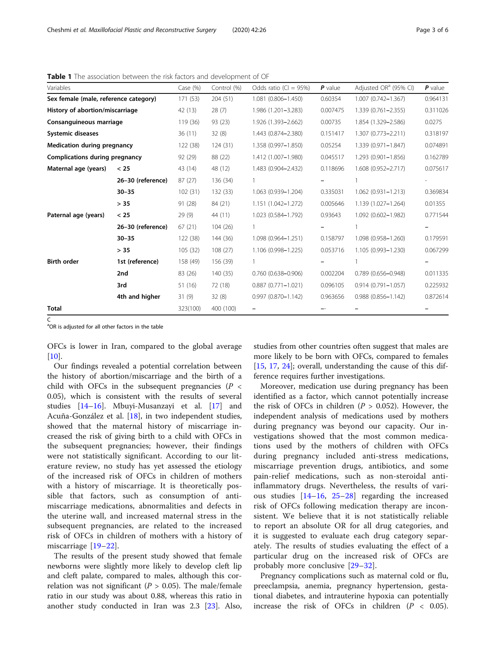<span id="page-2-0"></span>Table 1 The association between the risk factors and development of OF

| Variables                             |                   | Case (%) | Control (%) | Odds ratio $(CI = 95%)$ | $P$ value | Adjusted OR <sup>a</sup> (95% CI) | $P$ value |
|---------------------------------------|-------------------|----------|-------------|-------------------------|-----------|-----------------------------------|-----------|
| Sex female (male, reference category) |                   | 171(53)  | 204(51)     | 1.081 (0.806-1.450)     | 0.60354   | $1.007(0.742 - 1.367)$            | 0.964131  |
| History of abortion/miscarriage       |                   | 42 (13)  | 28(7)       | 1.986 (1.201-3.283)     | 0.007475  | 1.339 (0.761-2.355)               | 0.311026  |
| Consanguineous marriage               |                   | 119 (36) | 93 (23)     | 1.926 (1.393-2.662)     | 0.00735   | 1.854 (1.329-2.586)               | 0.0275    |
| <b>Systemic diseases</b>              |                   | 36(11)   | 32(8)       | 1.443 (0.874-2.380)     | 0.151417  | 1.307 (0.773-2.211)               | 0.318197  |
| <b>Medication during pregnancy</b>    |                   | 122 (38) | 124(31)     | 1.358 (0.997-1.850)     | 0.05254   | 1.339 (0.971-1.847)               | 0.074891  |
| <b>Complications during pregnancy</b> |                   | 92 (29)  | 88 (22)     | 1.412 (1.007-1.980)     | 0.045517  | 1.293 (0.901-1.856)               | 0.162789  |
| Maternal age (years)                  | < 25              | 43 (14)  | 48 (12)     | 1.483 (0.904-2.432)     | 0.118696  | 1.608 (0.952-2.717)               | 0.075617  |
|                                       | 26-30 (reference) | 87(27)   | 136 (34)    |                         |           |                                   |           |
|                                       | $30 - 35$         | 102(31)  | 132(33)     | 1.063 (0.939-1.204)     | 0.335031  | $1.062(0.931 - 1.213)$            | 0.369834  |
|                                       | > 35              | 91 (28)  | 84 (21)     | 1.151 (1.042-1.272)     | 0.005646  | 1.139 (1.027-1.264)               | 0.01355   |
| Paternal age (years)                  | < 25              | 29(9)    | 44 (11)     | 1.023 (0.584-1.792)     | 0.93643   | 1.092 (0.602-1.982)               | 0.771544  |
|                                       | 26-30 (reference) | 67(21)   | 104 (26)    |                         |           |                                   |           |
|                                       | $30 - 35$         | 122 (38) | 144 (36)    | 1.098 (0.964-1.251)     | 0.158797  | 1.098 (0.958-1.260)               | 0.179591  |
|                                       | > 35              | 105(32)  | 108(27)     | 1.106 (0.998-1.225)     | 0.053716  | 1.105 (0.993-1.230)               | 0.067299  |
| <b>Birth order</b>                    | 1st (reference)   | 158 (49) | 156 (39)    |                         |           |                                   |           |
|                                       | 2nd               | 83 (26)  | 140(35)     | $0.760$ (0.638-0.906)   | 0.002204  | $0.789$ (0.656-0.948)             | 0.011335  |
|                                       | 3rd               | 51 (16)  | 72 (18)     | $0.887(0.771 - 1.021)$  | 0.096105  | $0.914(0.791 - 1.057)$            | 0.225932  |
|                                       | 4th and higher    | 31(9)    | 32(8)       | $0.997(0.870 - 1.142)$  | 0.963656  | $0.988(0.856 - 1.142)$            | 0.872614  |
| Total                                 |                   | 323(100) | 400 (100)   |                         |           |                                   |           |

C <sup>a</sup>OR is adjusted for all other factors in the table

OFCs is lower in Iran, compared to the global average  $[10]$  $[10]$ .

Our findings revealed a potential correlation between the history of abortion/miscarriage and the birth of a child with OFCs in the subsequent pregnancies ( $P \leq$ 0.05), which is consistent with the results of several studies [\[14](#page-4-0)–[16](#page-4-0)]. Mbuyi-Musanzayi et al. [\[17](#page-4-0)] and Acuña-González et al. [[18\]](#page-4-0), in two independent studies, showed that the maternal history of miscarriage increased the risk of giving birth to a child with OFCs in the subsequent pregnancies; however, their findings were not statistically significant. According to our literature review, no study has yet assessed the etiology of the increased risk of OFCs in children of mothers with a history of miscarriage. It is theoretically possible that factors, such as consumption of antimiscarriage medications, abnormalities and defects in the uterine wall, and increased maternal stress in the subsequent pregnancies, are related to the increased risk of OFCs in children of mothers with a history of miscarriage [[19](#page-4-0)–[22\]](#page-4-0).

The results of the present study showed that female newborns were slightly more likely to develop cleft lip and cleft palate, compared to males, although this correlation was not significant ( $P > 0.05$ ). The male/female ratio in our study was about 0.88, whereas this ratio in another study conducted in Iran was 2.3 [[23\]](#page-4-0). Also,

studies from other countries often suggest that males are more likely to be born with OFCs, compared to females [[15,](#page-4-0) [17](#page-4-0), [24\]](#page-4-0); overall, understanding the cause of this difference requires further investigations.

Moreover, medication use during pregnancy has been identified as a factor, which cannot potentially increase the risk of OFCs in children  $(P > 0.052)$ . However, the independent analysis of medications used by mothers during pregnancy was beyond our capacity. Our investigations showed that the most common medications used by the mothers of children with OFCs during pregnancy included anti-stress medications, miscarriage prevention drugs, antibiotics, and some pain-relief medications, such as non-steroidal antiinflammatory drugs. Nevertheless, the results of various studies [[14](#page-4-0)–[16,](#page-4-0) [25](#page-4-0)–[28\]](#page-4-0) regarding the increased risk of OFCs following medication therapy are inconsistent. We believe that it is not statistically reliable to report an absolute OR for all drug categories, and it is suggested to evaluate each drug category separately. The results of studies evaluating the effect of a particular drug on the increased risk of OFCs are probably more conclusive [\[29](#page-4-0)–[32](#page-4-0)].

Pregnancy complications such as maternal cold or flu, preeclampsia, anemia, pregnancy hypertension, gestational diabetes, and intrauterine hypoxia can potentially increase the risk of OFCs in children  $(P < 0.05)$ .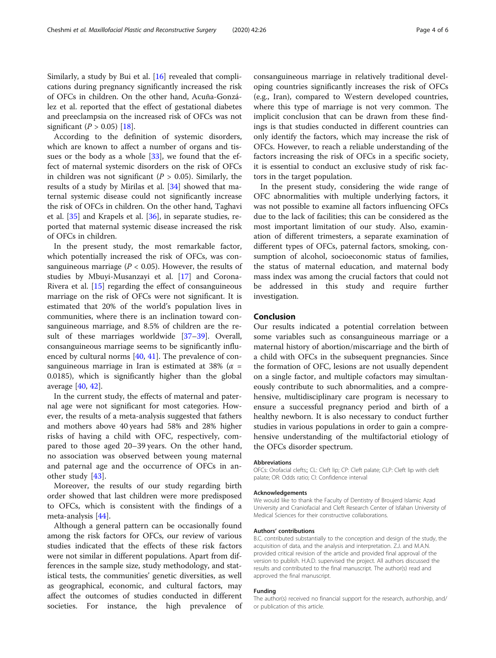Similarly, a study by Bui et al. [[16](#page-4-0)] revealed that complications during pregnancy significantly increased the risk of OFCs in children. On the other hand, Acuña-González et al. reported that the effect of gestational diabetes and preeclampsia on the increased risk of OFCs was not significant ( $P > 0.05$ ) [[18](#page-4-0)].

According to the definition of systemic disorders, which are known to affect a number of organs and tissues or the body as a whole [[33\]](#page-4-0), we found that the effect of maternal systemic disorders on the risk of OFCs in children was not significant ( $P > 0.05$ ). Similarly, the results of a study by Mirilas et al. [\[34\]](#page-4-0) showed that maternal systemic disease could not significantly increase the risk of OFCs in children. On the other hand, Taghavi et al. [\[35](#page-4-0)] and Krapels et al. [[36](#page-4-0)], in separate studies, reported that maternal systemic disease increased the risk of OFCs in children.

In the present study, the most remarkable factor, which potentially increased the risk of OFCs, was consanguineous marriage ( $P < 0.05$ ). However, the results of studies by Mbuyi-Musanzayi et al. [[17\]](#page-4-0) and Corona-Rivera et al. [[15\]](#page-4-0) regarding the effect of consanguineous marriage on the risk of OFCs were not significant. It is estimated that 20% of the world's population lives in communities, where there is an inclination toward consanguineous marriage, and 8.5% of children are the result of these marriages worldwide [[37](#page-4-0)–[39](#page-4-0)]. Overall, consanguineous marriage seems to be significantly influ-enced by cultural norms [[40](#page-5-0), [41](#page-5-0)]. The prevalence of consanguineous marriage in Iran is estimated at 38% ( $\alpha$  = 0.0185), which is significantly higher than the global average [\[40](#page-5-0), [42\]](#page-5-0).

In the current study, the effects of maternal and paternal age were not significant for most categories. However, the results of a meta-analysis suggested that fathers and mothers above 40 years had 58% and 28% higher risks of having a child with OFC, respectively, compared to those aged 20–39 years. On the other hand, no association was observed between young maternal and paternal age and the occurrence of OFCs in another study [\[43](#page-5-0)].

Moreover, the results of our study regarding birth order showed that last children were more predisposed to OFCs, which is consistent with the findings of a meta-analysis [[44\]](#page-5-0).

Although a general pattern can be occasionally found among the risk factors for OFCs, our review of various studies indicated that the effects of these risk factors were not similar in different populations. Apart from differences in the sample size, study methodology, and statistical tests, the communities' genetic diversities, as well as geographical, economic, and cultural factors, may affect the outcomes of studies conducted in different societies. For instance, the high prevalence of consanguineous marriage in relatively traditional developing countries significantly increases the risk of OFCs (e.g., Iran), compared to Western developed countries, where this type of marriage is not very common. The implicit conclusion that can be drawn from these findings is that studies conducted in different countries can only identify the factors, which may increase the risk of OFCs. However, to reach a reliable understanding of the factors increasing the risk of OFCs in a specific society, it is essential to conduct an exclusive study of risk factors in the target population.

In the present study, considering the wide range of OFC abnormalities with multiple underlying factors, it was not possible to examine all factors influencing OFCs due to the lack of facilities; this can be considered as the most important limitation of our study. Also, examination of different trimesters, a separate examination of different types of OFCs, paternal factors, smoking, consumption of alcohol, socioeconomic status of families, the status of maternal education, and maternal body mass index was among the crucial factors that could not be addressed in this study and require further investigation.

## Conclusion

Our results indicated a potential correlation between some variables such as consanguineous marriage or a maternal history of abortion/miscarriage and the birth of a child with OFCs in the subsequent pregnancies. Since the formation of OFC, lesions are not usually dependent on a single factor, and multiple cofactors may simultaneously contribute to such abnormalities, and a comprehensive, multidisciplinary care program is necessary to ensure a successful pregnancy period and birth of a healthy newborn. It is also necessary to conduct further studies in various populations in order to gain a comprehensive understanding of the multifactorial etiology of the OFCs disorder spectrum.

#### Abbreviations

OFCs: Orofacial clefts;; CL: Cleft lip; CP: Cleft palate; CLP: Cleft lip with cleft palate; OR: Odds ratio; CI: Confidence interval

#### Acknowledgements

We would like to thank the Faculty of Dentistry of Broujerd Islamic Azad University and Craniofacial and Cleft Research Center of Isfahan University of Medical Sciences for their constructive collaborations.

#### Authors' contributions

B.C. contributed substantially to the conception and design of the study, the acquisition of data, and the analysis and interpretation. Z.J. and M.A.N. provided critical revision of the article and provided final approval of the version to publish. H.A.D. supervised the project. All authors discussed the results and contributed to the final manuscript. The author(s) read and approved the final manuscript.

#### Funding

The author(s) received no financial support for the research, authorship, and/ or publication of this article.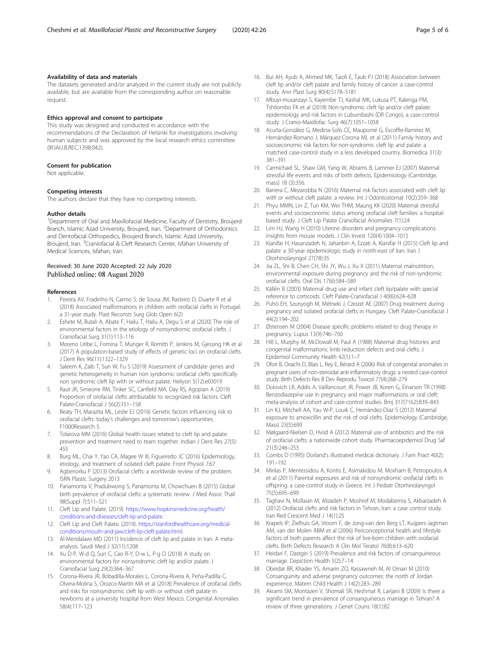#### <span id="page-4-0"></span>Availability of data and materials

The datasets generated and/or analyzed in the current study are not publicly available, but are available from the corresponding author on reasonable request.

#### Ethics approval and consent to participate

This study was designed and conducted in accordance with the recommendations of the Declaration of Helsinki for investigations involving human subjects and was approved by the local research ethics committee (IR.IAU.B.REC.1398.042).

#### Consent for publication

Not applicable.

Competing interests

## The authors declare that they have no competing interests.

#### Author details

<sup>1</sup>Department of Oral and Maxillofacial Medicine, Faculty of Dentistry, Broujerd Branch, Islamic Azad University, Broujerd, Iran. <sup>2</sup>Department of Orthodontics and Dentofacial Orthopedics, Broujerd Branch, Islamic Azad University, Broujerd, Iran. <sup>3</sup>Craniofacial & Cleft Research Center, Isfahan University of Medical Sciences, Isfahan, Iran.

#### Received: 30 June 2020 Accepted: 22 July 2020 Published online: 08 August 2020

#### References

- 1. Pereira AV, Fradinho N, Carmo S, de Sousa JM, Rasteiro D, Duarte R et al (2018) Associated malformations in children with orofacial clefts in Portugal: a 31-year study. Plast Reconstr Surg Glob Open 6(2)
- 2. Eshete M, Butali A, Abate F, Hailu T, Hailu A, Degu S et al (2020) The role of environmental factors in the etiology of nonsyndromic orofacial clefts. J Craniofacial Surg 31(1):113–116
- 3. Moreno Uribe L, Fomina T, Munger R, Romitti P, Jenkins M, Gjessing HK et al (2017) A population-based study of effects of genetic loci on orofacial clefts. J Dent Res 96(11):1322–1329
- 4. Saleem K, Zaib T, Sun W, Fu S (2019) Assessment of candidate genes and genetic heterogeneity in human non syndromic orofacial clefts specifically non syndromic cleft lip with or without palate. Heliyon 5(12):e03019
- 5. Raut JR, Simeone RM, Tinker SC, Canfield MA, Day RS, Agopian A (2019) Proportion of orofacial clefts attributable to recognized risk factors. Cleft Palate-Craniofacial J 56(2):151–158
- 6. Beaty TH, Marazita ML, Leslie EJ (2016) Genetic factors influencing risk to orofacial clefts: today's challenges and tomorrow's opportunities. F1000Research 5.
- 7. Tolarova MM (2016) Global health issues related to cleft lip and palate: prevention and treatment need to team together. Indian J Dent Res 27(5): 455
- 8. Burg ML, Chai Y, Yao CA, Magee W III, Figueiredo JC (2016) Epidemiology, etiology, and treatment of isolated cleft palate. Front Physiol 7:67
- 9. Agbenorku P (2013) Orofacial clefts: a worldwide review of the problem. ISRN Plastic Surgery 2013
- 10. Panamonta V, Pradubwong S, Panamonta M, Chowchuen B (2015) Global birth prevalence of orofacial clefts: a systematic review. J Med Assoc Thail 98(Suppl 7):S11–S21
- 11. Cleft Lip and Palate. (2019). [https://www.hopkinsmedicine.org/health/](https://www.hopkinsmedicine.org/health/conditions-and-diseases/cleft-lip-and-palate) [conditions-and-diseases/cleft-lip-and-palate](https://www.hopkinsmedicine.org/health/conditions-and-diseases/cleft-lip-and-palate).
- 12. Cleft Lip and Cleft Palate. (2019). [https://stanfordhealthcare.org/medical](https://stanfordhealthcare.org/medical-conditions/mouth-and-jaw/cleft-lip-cleft-palate.html)[conditions/mouth-and-jaw/cleft-lip-cleft-palate.html](https://stanfordhealthcare.org/medical-conditions/mouth-and-jaw/cleft-lip-cleft-palate.html).
- 13. Al-Mendalawi MD (2011) Incidence of cleft lip and palate in Iran. A metaanalysis. Saudi Med J 32(11):1208
- 14. Xu D-P, W-d Q, Sun C, Cao R-Y, D-w L, P-g D (2018) A study on environmental factors for nonsyndromic cleft lip and/or palate. J Craniofacial Surg 29(2):364–367
- 15. Corona-Rivera JR, Bobadilla-Morales L, Corona-Rivera A, Peña-Padilla C, Olvera-Molina S, Orozco-Martín MA et al (2018) Prevalence of orofacial clefts and risks for nonsyndromic cleft lip with or without cleft palate in newborns at a university hospital from West Mexico. Congenital Anomalies 58(4):117–123
- 16. Bui AH, Ayub A, Ahmed MK, Taioli E, Taub PJ (2018) Association between cleft lip and/or cleft palate and family history of cancer: a case-control study. Ann Plast Surg 80(4):S178–S181
- 17. Mbuyi-musanzayi S, Kayembe TJ, Kashal MK, Lukusa PT, Kalenga PM, Tshilombo FK et al (2018) Non-syndromic cleft lip and/or cleft palate: epidemiology and risk factors in Lubumbashi (DR Congo), a case-control study. J Cranio-Maxillofac Surg 46(7):1051–1058
- 18. Acuña-González G, Medina-Solís CE, Maupomé G, Escoffie-Ramírez M, Hernández-Romano J, Márquez-Corona ML et al (2011) Family history and socioeconomic risk factors for non-syndromic cleft lip and palate: a matched case-control study in a less developed country. Biomedica 31(3): 381–391
- 19. Carmichael SL, Shaw GM, Yang W, Abrams B, Lammer EJ (2007) Maternal stressful life events and risks of birth defects. Epidemiology (Cambridge, mass) 18 (3):356.
- 20. Barrera C, Mezarobba N (2016) Maternal risk factors associated with cleft lip with or without cleft palate: a review. Int J Odontostomat 10(2):359–368
- 21. Phyu MMN, Lin Z, Tun KM, Wei THM, Maung KK (2020) Maternal stressful events and socioeconomic status among orofacial cleft families: a hospitalbased study. J Cleft Lip Palate Craniofacial Anomalies 7(1):24
- 22. Lim HJ, Wang H (2010) Uterine disorders and pregnancy complications: insights from mouse models. J Clin Invest 120(4):1004–1015
- 23. Kianifar H, Hasanzadeh N, Jahanbin A, Ezzati A, Kianifar H (2015) Cleft lip and palate: a 30-year epidemiologic study in north-east of Iran. Iran J Otorhinolaryngol 27(78):35
- 24. Jia ZL, Shi B, Chen CH, Shi JY, Wu J, Xu X (2011) Maternal malnutrition, environmental exposure during pregnancy and the risk of non-syndromic orofacial clefts. Oral Dis 17(6):584–589
- 25. Källén B (2003) Maternal drug use and infant cleft lip/palate with special reference to corticoids. Cleft Palate-Craniofacial J 40(6):624–628
- 26. Puhó EH, Szunyogh M, Métneki J, Czeizel AE (2007) Drug treatment during pregnancy and isolated orofacial clefts in Hungary. Cleft Palate-Craniofacial J 44(2):194–202
- 27. Østensen M (2004) Disease specific problems related to drug therapy in pregnancy. Lupus 13(9):746–750
- 28. Hill L, Murphy M, McDowall M, Paul A (1988) Maternal drug histories and congenital malformations: limb reduction defects and oral clefts. J Epidemiol Community Health 42(1):1–7
- 29. Ofori B, Oraichi D, Blais L, Rey E, Bérard A (2006) Risk of congenital anomalies in pregnant users of non-steroidal anti-inflammatory drugs: a nested case-control study. Birth Defects Res B Dev Reprodu Toxicol 77(4):268–279
- 30. Dolovich LR, Addis A, Vaillancourt JR, Power JB, Koren G, Einarson TR (1998) Benzodiazepine use in pregnancy and major malformations or oral cleft: meta-analysis of cohort and case-control studies. Bmj 317(7162):839–843
- 31. Lin KJ, Mitchell AA, Yau W-P, Louik C, Hernández-Díaz S (2012) Maternal exposure to amoxicillin and the risk of oral clefts. Epidemiology (Cambridge, Mass) 23(5):699
- 32. Mølgaard-Nielsen D, Hviid A (2012) Maternal use of antibiotics and the risk of orofacial clefts: a nationwide cohort study. Pharmacoepidemiol Drug Saf 21(3):246–253
- 33. Combs D (1995) Dorland's illustrated medical dictionary. J Fam Pract 40(2): 191–192
- 34. Mirilas P, Mentessidou A, Kontis E, Asimakidou M, Moxham B, Petropoulos A et al (2011) Parental exposures and risk of nonsyndromic orofacial clefts in offspring: a case-control study in Greece. Int J Pediatr Otorhinolaryngol 75(5):695–699
- 35. Taghavi N, Mollaian M, Alizadeh P, Moshref M, Modabernia S, Akbarzadeh A (2012) Orofacial clefts and risk factors in Tehran, Iran: a case control study. Iran Red Crescent Med J 14(1):25
- 36. Krapels IP, Zielhuis GA, Vroom F, de Jong-van den Berg LT, Kuijpers-Jagtman AM, van der Molen ABM et al (2006) Periconceptional health and lifestyle factors of both parents affect the risk of live-born children with orofacial clefts. Birth Defects Research A Clin Mol Teratol 76(8):613–620
- 37. Heidari F, Dastgiri S (2019) Prevalence and risk factors of consanguineous marriage. Depiction Health 5(2):7–14
- 38. Obeidat BR, Khader YS, Amarin ZO, Kassawneh M, Al Omari M (2010) Consanguinity and adverse pregnancy outcomes: the north of Jordan experience. Matern Child Health J 14(2):283–289
- 39. Akrami SM, Montazeri V, Shomali SR, Heshmat R, Larijani B (2009) Is there a significant trend in prevalence of consanguineous marriage in Tehran? A review of three generations. J Genet Couns 18(1):82